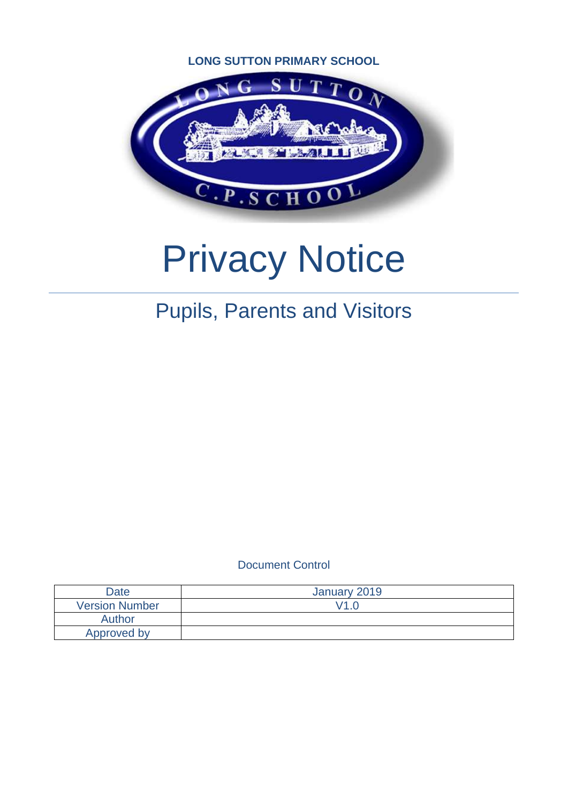### **LONG SUTTON PRIMARY SCHOOL**



# Privacy Notice

# Pupils, Parents and Visitors

Document Control

| Date                  | January 2019 |
|-----------------------|--------------|
| <b>Version Number</b> | V1 0         |
| Author                |              |
| Approved by           |              |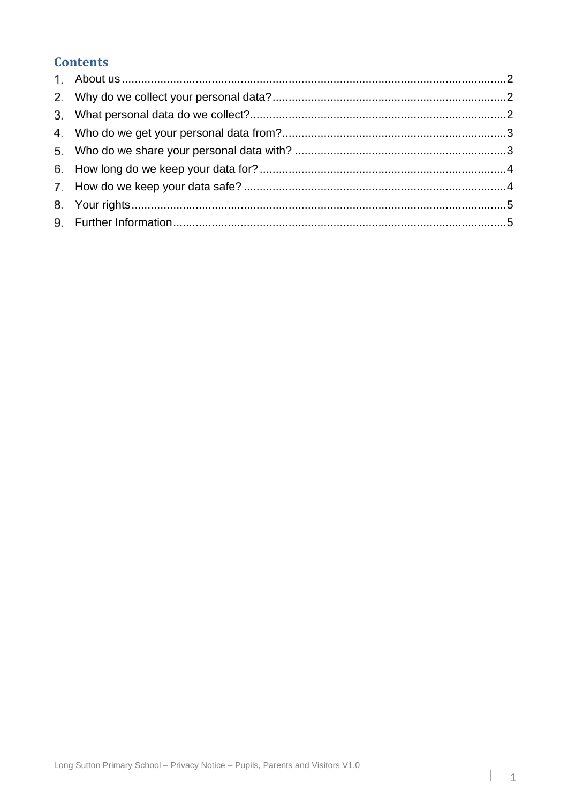# **Contents**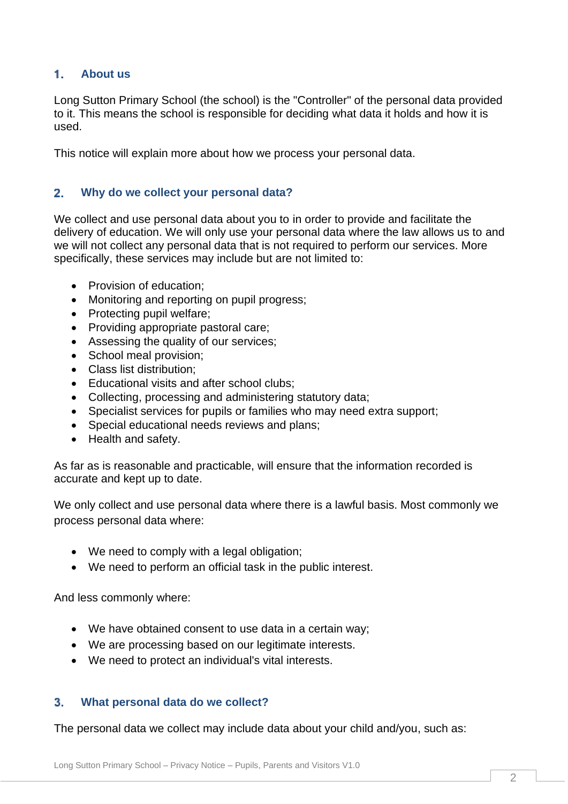#### <span id="page-2-0"></span> $1.$ **About us**

Long Sutton Primary School (the school) is the "Controller" of the personal data provided to it. This means the school is responsible for deciding what data it holds and how it is used.

This notice will explain more about how we process your personal data.

#### <span id="page-2-1"></span> $2<sub>1</sub>$ **Why do we collect your personal data?**

We collect and use personal data about you to in order to provide and facilitate the delivery of education. We will only use your personal data where the law allows us to and we will not collect any personal data that is not required to perform our services. More specifically, these services may include but are not limited to:

- Provision of education;
- Monitoring and reporting on pupil progress;
- Protecting pupil welfare;
- Providing appropriate pastoral care;
- Assessing the quality of our services;
- School meal provision;
- Class list distribution;
- Educational visits and after school clubs:
- Collecting, processing and administering statutory data;
- Specialist services for pupils or families who may need extra support;
- Special educational needs reviews and plans;
- Health and safety.

As far as is reasonable and practicable, will ensure that the information recorded is accurate and kept up to date.

We only collect and use personal data where there is a lawful basis. Most commonly we process personal data where:

- We need to comply with a legal obligation;
- We need to perform an official task in the public interest.

And less commonly where:

- We have obtained consent to use data in a certain way;
- We are processing based on our legitimate interests.
- We need to protect an individual's vital interests.

#### <span id="page-2-2"></span> $3.$ **What personal data do we collect?**

The personal data we collect may include data about your child and/you, such as: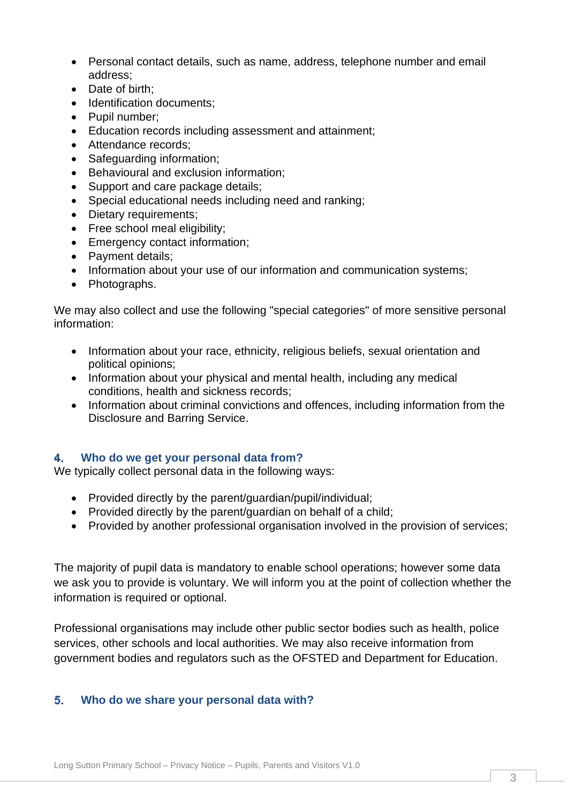- Personal contact details, such as name, address, telephone number and email address;
- Date of birth;
- Identification documents;
- Pupil number;
- Education records including assessment and attainment;
- Attendance records:
- Safeguarding information;
- Behavioural and exclusion information;
- Support and care package details;
- Special educational needs including need and ranking;
- Dietary requirements;
- Free school meal eligibility;
- Emergency contact information;
- Payment details:
- Information about your use of our information and communication systems;
- Photographs.

We may also collect and use the following "special categories" of more sensitive personal information:

- Information about your race, ethnicity, religious beliefs, sexual orientation and political opinions;
- Information about your physical and mental health, including any medical conditions, health and sickness records;
- Information about criminal convictions and offences, including information from the Disclosure and Barring Service.

#### <span id="page-3-0"></span>**Who do we get your personal data from?** 4.

We typically collect personal data in the following ways:

- Provided directly by the parent/guardian/pupil/individual;
- Provided directly by the parent/quardian on behalf of a child;
- Provided by another professional organisation involved in the provision of services;

The majority of pupil data is mandatory to enable school operations; however some data we ask you to provide is voluntary. We will inform you at the point of collection whether the information is required or optional.

Professional organisations may include other public sector bodies such as health, police services, other schools and local authorities. We may also receive information from government bodies and regulators such as the OFSTED and Department for Education.

## <span id="page-3-1"></span>**Who do we share your personal data with?**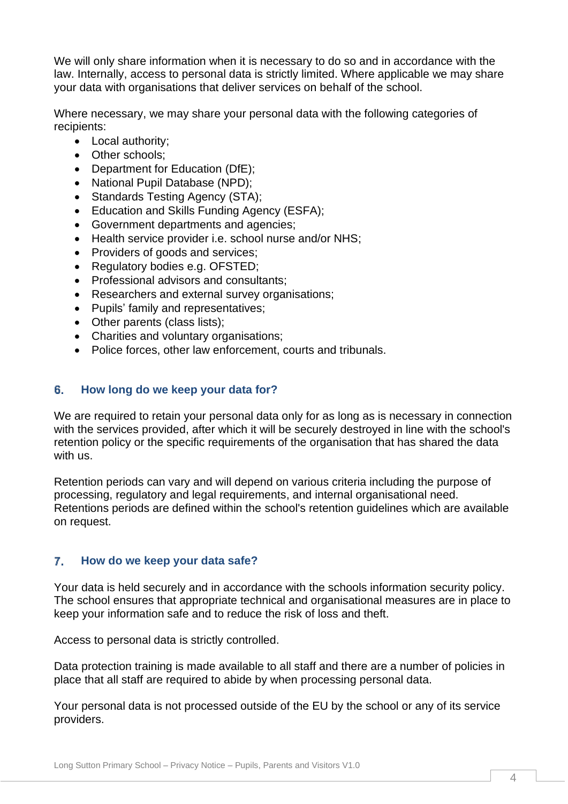We will only share information when it is necessary to do so and in accordance with the law. Internally, access to personal data is strictly limited. Where applicable we may share your data with organisations that deliver services on behalf of the school.

Where necessary, we may share your personal data with the following categories of recipients:

- Local authority;
- Other schools:
- Department for Education (DfE);
- National Pupil Database (NPD);
- Standards Testing Agency (STA);
- Education and Skills Funding Agency (ESFA);
- Government departments and agencies;
- Health service provider i.e. school nurse and/or NHS;
- Providers of goods and services;
- Regulatory bodies e.g. OFSTED;
- Professional advisors and consultants;
- Researchers and external survey organisations;
- Pupils' family and representatives;
- Other parents (class lists);
- Charities and voluntary organisations;
- Police forces, other law enforcement, courts and tribunals.

#### <span id="page-4-0"></span>6. **How long do we keep your data for?**

We are required to retain your personal data only for as long as is necessary in connection with the services provided, after which it will be securely destroyed in line with the school's retention policy or the specific requirements of the organisation that has shared the data with us.

Retention periods can vary and will depend on various criteria including the purpose of processing, regulatory and legal requirements, and internal organisational need. Retentions periods are defined within the school's retention guidelines which are available on request.

#### <span id="page-4-1"></span>7. **How do we keep your data safe?**

Your data is held securely and in accordance with the schools information security policy. The school ensures that appropriate technical and organisational measures are in place to keep your information safe and to reduce the risk of loss and theft.

Access to personal data is strictly controlled.

Data protection training is made available to all staff and there are a number of policies in place that all staff are required to abide by when processing personal data.

Your personal data is not processed outside of the EU by the school or any of its service providers.